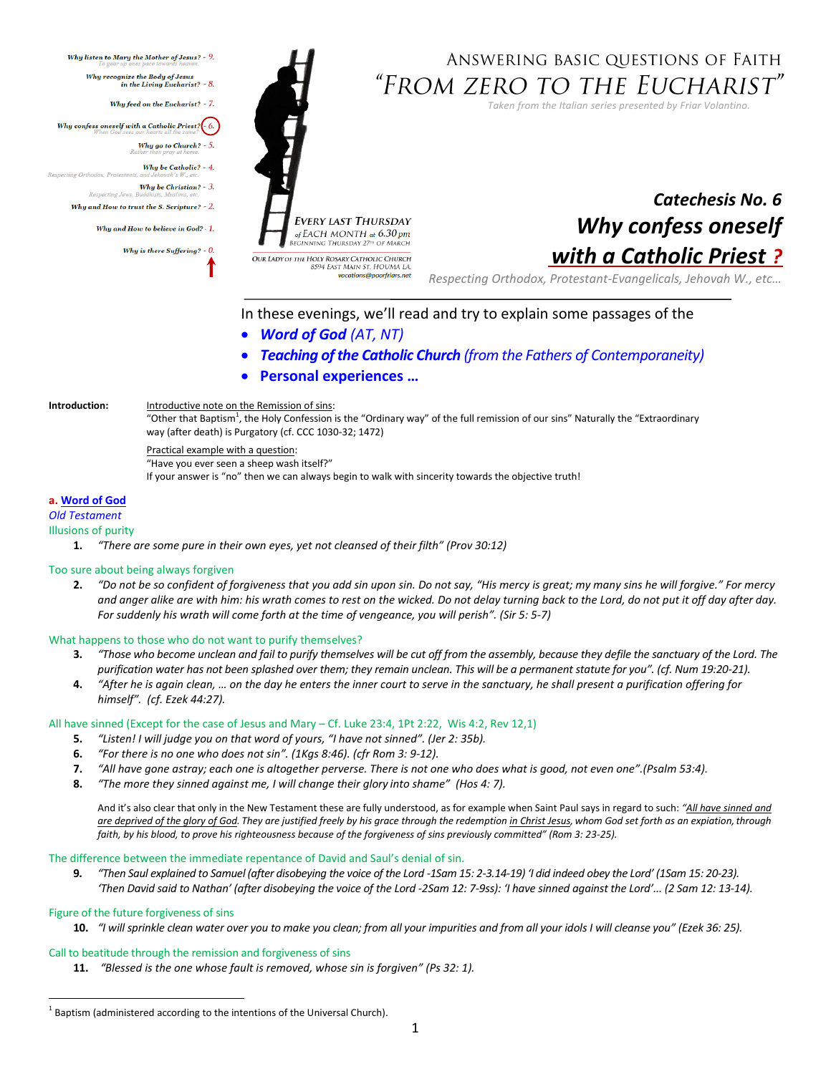

# ANSWERING BASIC QUESTIONS OF FAITH "From zero to the Eucharist"

*Taken from the Italian series presented by Friar Volantino.* 

# *Catechesis No. 6 Why confess oneself with a Catholic Priest ?*

*Respecting Orthodox, Protestant-Evangelicals, Jehovah W., etc…*

In these evenings, we'll read and try to explain some passages of the

- *Word of God (AT, NT)*
- *Teaching of the Catholic Church (from the Fathers of Contemporaneity)*
- **Personal experiences …**

## **Introduction:** Introductive note on the Remission of sins:

"Other that Baptism<sup>1</sup>, the Holy Confession is the "Ordinary way" of the full remission of our sins" Naturally the "Extraordinary way (after death) is Purgatory (cf. CCC 1030-32; 1472)

Practical example with a question:

```
"Have you ever seen a sheep wash itself?"
```
If your answer is "no" then we can always begin to walk with sincerity towards the objective truth!

vocations@poorfriars.net

# **a. Word of God**

pecting Orthodox, Protestar

Respecting Jews.

*Old Testament*

- Illusions of purity
	- **1.** *"There are some pure in their own eyes, yet not cleansed of their filth" (Prov 30:12)*

## Too sure about being always forgiven

**2.** *"Do not be so confident of forgiveness that you add sin upon sin. Do not say, "His mercy is great; my many sins he will forgive." For mercy and anger alike are with him: his wrath comes to rest on the wicked. Do not delay turning back to the Lord, do not put it off day after day. For suddenly his wrath will come forth at the time of vengeance, you will perish". (Sir 5: 5-7)*

## What happens to those who do not want to purify themselves?

- **3.** *"Those who become unclean and fail to purify themselves will be cut off from the assembly, because they defile the sanctuary of the Lord. The*  purification water has not been splashed over them; they remain unclean. This will be a permanent statute for you". (cf. Num 19:20-21).
- 4. "After he is again clean, ... on the day he enters the inner court to serve in the sanctuary, he shall present a purification offering for *himself". (cf. Ezek 44:27).*

#### All have sinned (Except for the case of Jesus and Mary – Cf. Luke 23:4, 1Pt 2:22, Wis 4:2, Rev 12,1)

- **5.** *"Listen! I will judge you on that word of yours, "I have not sinned". (Jer 2: 35b).*
- **6.** *"For there is no one who does not sin". (1Kgs 8:46). (cfr Rom 3: 9-12).*
- **7.** *"All have gone astray; each one is altogether perverse. There is not one who does what is good, not even one".(Psalm 53:4).*
- **8.** *"The more they sinned against me, I will change their glory into shame" (Hos 4: 7).*

And it's also clear that only in the New Testament these are fully understood, as for example when Saint Paul says in regard to such: *"All have sinned and* are deprived of the glory of God. They are justified freely by his grace through the redemption in Christ Jesus, whom God set forth as an expiation, through *faith, by his blood, to prove his righteousness because of the forgiveness of sins previously committed" (Rom 3: 23-25).*

## The difference between the immediate repentance of David and Saul's denial of sin.

**9.** *"Then Saul explained to Samuel (after disobeying the voice of the Lord -1Sam 15: 2-3.14-19) 'I did indeed obey the Lord' (1Sam 15: 20-23). 'Then David said to Nathan' (after disobeying the voice of the Lord -2Sam 12: 7-9ss): 'I have sinned against the Lord'... (2 Sam 12: 13-14).*

## Figure of the future forgiveness of sins

 $\overline{a}$ 

**10.** *"I will sprinkle clean water over you to make you clean; from all your impurities and from all your idols I will cleanse you" (Ezek 36: 25).*

## Call to beatitude through the remission and forgiveness of sins

**11.** *"Blessed is the one whose fault is removed, whose sin is forgiven" (Ps 32: 1).*

 $^1$  Baptism (administered according to the intentions of the Universal Church).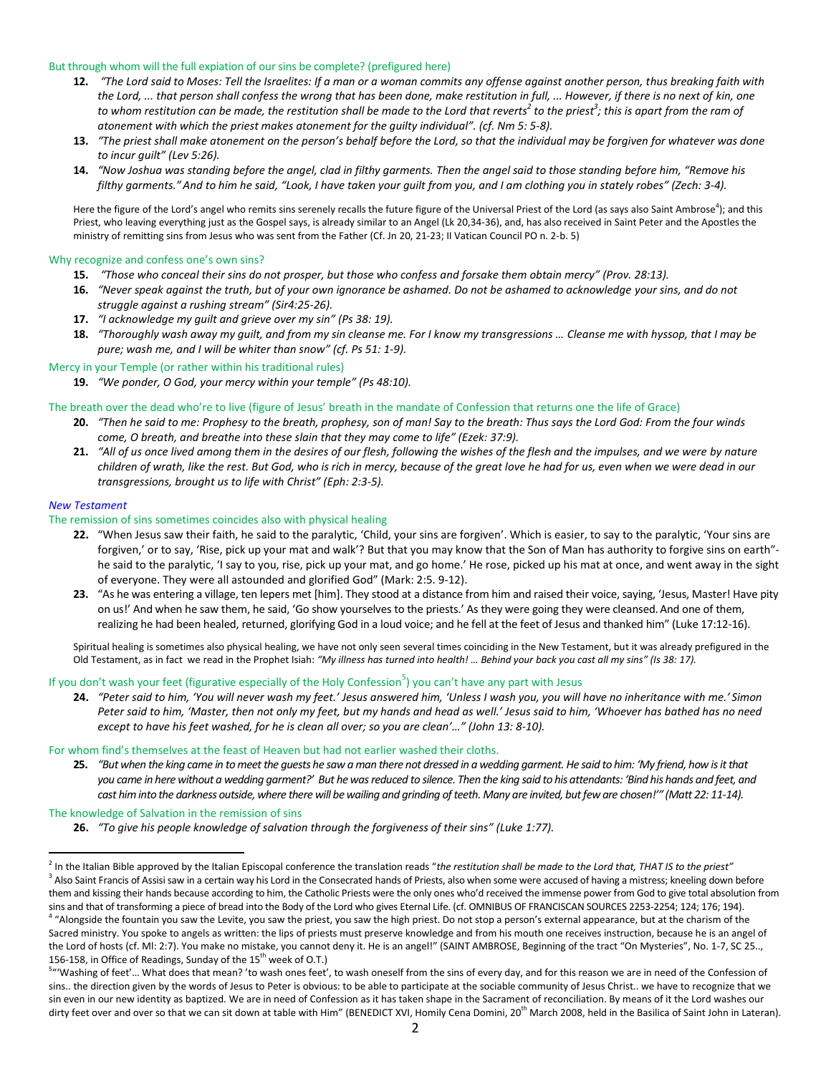#### But through whom will the full expiation of our sins be complete? (prefigured here)

- **12.** *"The Lord said to Moses: Tell the Israelites: If a man or a woman commits any offense against another person, thus breaking faith with the Lord, ... that person shall confess the wrong that has been done, make restitution in full, ... However, if there is no next of kin, one to whom restitution can be made, the restitution shall be made to the Lord that reverts<sup>2</sup> to the priest<sup>3</sup> ; this is apart from the ram of atonement with which the priest makes atonement for the guilty individual". (cf. Nm 5: 5-8).*
- 13. "The priest shall make atonement on the person's behalf before the Lord, so that the individual may be forgiven for whatever was done *to incur guilt" (Lev 5:26).*
- 14. "Now Joshua was standing before the angel, clad in filthy garments. Then the angel said to those standing before him, "Remove his *filthy garments." And to him he said, "Look, I have taken your guilt from you, and I am clothing you in stately robes" (Zech: 3-4).*

Here the figure of the Lord's angel who remits sins serenely recalls the future figure of the Universal Priest of the Lord (as says also Saint Ambrose<sup>4</sup>); and this Priest, who leaving everything just as the Gospel says, is already similar to an Angel (Lk 20,34-36), and, has also received in Saint Peter and the Apostles the ministry of remitting sins from Jesus who was sent from the Father (Cf. Jn 20, 21-23; II Vatican Council PO n. 2-b. 5)

#### Why recognize and confess one's own sins?

- **15.** *"Those who conceal their sins do not prosper, but those who confess and forsake them obtain mercy" (Prov. 28:13).*
- **16.** *"Never speak against the truth, but of your own ignorance be ashamed. Do not be ashamed to acknowledge your sins, and do not struggle against a rushing stream" (Sir4:25-26).*
- **17.** *"I acknowledge my guilt and grieve over my sin" (Ps 38: 19).*
- **18.** *"Thoroughly wash away my guilt, and from my sin cleanse me. For I know my transgressions … Cleanse me with hyssop, that I may be pure; wash me, and I will be whiter than snow" (cf. Ps 51: 1-9).*

## Mercy in your Temple (or rather within his traditional rules)

**19.** *"We ponder, O God, your mercy within your temple" (Ps 48:10).*

#### The breath over the dead who're to live (figure of Jesus' breath in the mandate of Confession that returns one the life of Grace)

- 20. "Then he said to me: Prophesy to the breath, prophesy, son of man! Say to the breath: Thus says the Lord God: From the four winds *come, O breath, and breathe into these slain that they may come to life" (Ezek: 37:9).*
- **21.** *"All of us once lived among them in the desires of our flesh, following the wishes of the flesh and the impulses, and we were by nature children of wrath, like the rest. But God, who is rich in mercy, because of the great love he had for us, even when we were dead in our transgressions, brought us to life with Christ" (Eph: 2:3-5).*

#### *New Testament*

 $\overline{\phantom{a}}$ 

#### The remission of sins sometimes coincides also with physical healing

- **22.** "When Jesus saw their faith, he said to the paralytic, 'Child, your sins are forgiven'. Which is easier, to say to the paralytic, 'Your sins are forgiven,' or to say, 'Rise, pick up your mat and walk'? But that you may know that the Son of Man has authority to forgive sins on earth" he said to the paralytic, 'I say to you, rise, pick up your mat, and go home.' He rose, picked up his mat at once, and went away in the sight of everyone. They were all astounded and glorified God" (Mark: 2:5. 9-12).
- **23.** "As he was entering a village, ten lepers met [him]. They stood at a distance from him and raised their voice, saying, 'Jesus, Master! Have pity on us!' And when he saw them, he said, 'Go show yourselves to the priests.' As they were going they were cleansed.And one of them, realizing he had been healed, returned, glorifying God in a loud voice; and he fell at the feet of Jesus and thanked him" (Luke 17:12-16).

Spiritual healing is sometimes also physical healing, we have not only seen several times coinciding in the New Testament, but it was already prefigured in the Old Testament, as in fact we read in the Prophet Isiah: *"My illness has turned into health! … Behind your back you cast all my sins" (Is 38: 17).*

# If you don't wash your feet (figurative especially of the Holy Confession<sup>5</sup>) you can't have any part with Jesus

24. "Peter said to him, 'You will never wash my feet.' Jesus answered him, 'Unless I wash you, you will have no inheritance with me.' Simon Peter said to him, 'Master, then not only my feet, but my hands and head as well.' Jesus said to him, 'Whoever has bathed has no need *except to have his feet washed, for he is clean all over; so you are clean'…" (John 13: 8-10).* 

#### For whom find's themselves at the feast of Heaven but had not earlier washed their cloths.

25. "But when the king came in to meet the quests he saw a man there not dressed in a wedding garment. He said to him: 'My friend, how is it that you came in here without a wedding garment?' But he was reduced to silence. Then the king said to his attendants: 'Bind his hands and feet, and *cast him into the darkness outside, where there will be wailing and grinding of teeth. Many are invited, butfew are chosen!'" (Matt 22: 11-14).*

#### The knowledge of Salvation in the remission of sins

**26.** *"To give his people knowledge of salvation through the forgiveness of their sins" (Luke 1:77).* 

<sup>2</sup> In the Italian Bible approved by the Italian Episcopal conference the translation reads "*the restitution shall be made to the Lord that, THAT IS to the priest"*  $^3$  Also Saint Francis of Assisi saw in a certain way his Lord in the Consecrated hands of Priests, also when some were accused of having a mistress; kneeling down before them and kissing their hands because according to him, the Catholic Priests were the only ones who'd received the immense power from God to give total absolution from sins and that of transforming a piece of bread into the Body of the Lord who gives Eternal Life. (cf. OMNIBUS OF FRANCISCAN SOURCES 2253-2254; 124; 176; 194). <sup>4</sup> "Alongside the fountain you saw the Levite, you saw the priest, you saw the high priest. Do not stop a person's external appearance, but at the charism of the Sacred ministry. You spoke to angels as written: the lips of priests must preserve knowledge and from his mouth one receives instruction, because he is an angel of the Lord of hosts (cf. MI: 2:7). You make no mistake, you cannot deny it. He is an angel!" (SAINT AMBROSE, Beginning of the tract "On Mysteries", No. 1-7, SC 25.., 156-158, in Office of Readings, Sunday of the  $15<sup>th</sup>$  week of O.T.)

<sup>5</sup> "'Washing of feet'… What does that mean? 'to wash ones feet', to wash oneself from the sins of every day, and for this reason we are in need of the Confession of sins.. the direction given by the words of Jesus to Peter is obvious: to be able to participate at the sociable community of Jesus Christ.. we have to recognize that we sin even in our new identity as baptized. We are in need of Confession as it has taken shape in the Sacrament of reconciliation. By means of it the Lord washes our dirty feet over and over so that we can sit down at table with Him" (BENEDICT XVI, Homily Cena Domini, 20<sup>th</sup> March 2008, held in the Basilica of Saint John in Lateran).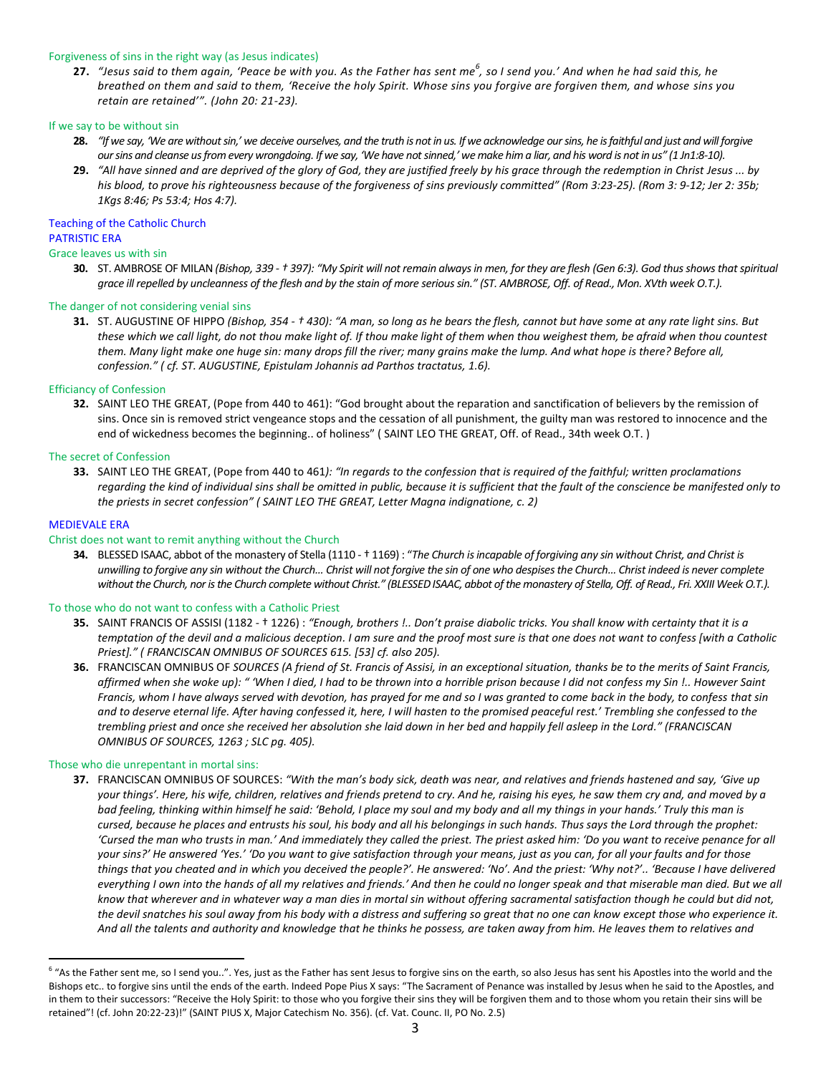## Forgiveness of sins in the right way (as Jesus indicates)

**27.** *"Jesus said to them again, 'Peace be with you. As the Father has sent me<sup>6</sup> , so I send you.' And when he had said this, he breathed on them and said to them, 'Receive the holy Spirit. Whose sins you forgive are forgiven them, and whose sins you retain are retained'". (John 20: 21-23).*

#### If we say to be without sin

- **28.** *"If we say, 'We are without sin,' we deceive ourselves, and the truth is not in us. If we acknowledge our sins, he is faithful and just and will forgive our sins and cleanse us from every wrongdoing. If we say, 'We have not sinned,' we make him a liar, and his word is not in us" (1 Jn1:8-10).*
- **29.** *"All have sinned and are deprived of the glory of God, they are justified freely by his grace through the redemption in Christ Jesus ... by his blood, to prove his righteousness because of the forgiveness of sins previously committed" (Rom 3:23-25). (Rom 3: 9-12; Jer 2: 35b; 1Kgs 8:46; Ps 53:4; Hos 4:7).*

# Teaching of the Catholic Church PATRISTIC ERA

# Grace leaves us with sin

**30.** ST. AMBROSE OF MILAN *(Bishop, 339 - † 397): "My Spirit will not remain always in men, for they are flesh (Gen 6:3). God thus shows that spiritual grace ill repelled by uncleanness of the flesh and by the stain of more serious sin." (ST. AMBROSE, Off. of Read., Mon. XVth week O.T.).*

#### The danger of not considering venial sins

**31.** ST. AUGUSTINE OF HIPPO *(Bishop, 354 - † 430): "A man, so long as he bears the flesh, cannot but have some at any rate light sins. But these which we call light, do not thou make light of. If thou make light of them when thou weighest them, be afraid when thou countest them. Many light make one huge sin: many drops fill the river; many grains make the lump. And what hope is there? Before all, confession." ( cf. ST. AUGUSTINE, Epistulam Johannis ad Parthos tractatus, 1.6).*

## Efficiancy of Confession

**32.** SAINT LEO THE GREAT, (Pope from 440 to 461): "God brought about the reparation and sanctification of believers by the remission of sins. Once sin is removed strict vengeance stops and the cessation of all punishment, the guilty man was restored to innocence and the end of wickedness becomes the beginning.. of holiness" ( SAINT LEO THE GREAT, Off. of Read., 34th week O.T. )

## The secret of Confession

**33.** SAINT LEO THE GREAT, (Pope from 440 to 461*): "In regards to the confession that is required of the faithful; written proclamations regarding the kind of individual sins shall be omitted in public, because it is sufficient that the fault of the conscience be manifested only to the priests in secret confession" ( SAINT LEO THE GREAT, Letter Magna indignatione, c. 2)*

#### MEDIEVALE ERA

 $\overline{a}$ 

#### Christ does not want to remit anything without the Church

**34.** BLESSED ISAAC, abbot of the monastery of Stella (1110 - † 1169) : "*The Church is incapable of forgiving any sin without Christ, and Christ is unwilling to forgive any sin without the Church… Christ will not forgive the sin of one who despises the Church… Christ indeed is never complete without the Church, nor is the Church complete without Christ." (BLESSEDISAAC, abbot of the monastery of Stella, Off. of Read., Fri. XXIII Week O.T.).*

#### To those who do not want to confess with a Catholic Priest

- **35.** SAINT FRANCIS OF ASSISI (1182 † 1226) : *"Enough, brothers !.. Don't praise diabolic tricks. You shall know with certainty that it is a temptation of the devil and a malicious deception. I am sure and the proof most sure is that one does not want to confess [with a Catholic Priest]." ( FRANCISCAN OMNIBUS OF SOURCES 615. [53] cf. also 205).*
- **36.** FRANCISCAN OMNIBUS OF *SOURCES (A friend of St. Francis of Assisi, in an exceptional situation, thanks be to the merits of Saint Francis, affirmed when she woke up): " 'When I died, I had to be thrown into a horrible prison because I did not confess my Sin !.. However Saint Francis, whom I have always served with devotion, has prayed for me and so I was granted to come back in the body, to confess that sin and to deserve eternal life. After having confessed it, here, I will hasten to the promised peaceful rest.' Trembling she confessed to the trembling priest and once she received her absolution she laid down in her bed and happily fell asleep in the Lord." (FRANCISCAN OMNIBUS OF SOURCES, 1263 ; SLC pg. 405).*

#### Those who die unrepentant in mortal sins:

**37.** FRANCISCAN OMNIBUS OF SOURCES: *"With the man's body sick, death was near, and relatives and friends hastened and say, 'Give up your things'. Here, his wife, children, relatives and friends pretend to cry. And he, raising his eyes, he saw them cry and, and moved by a bad feeling, thinking within himself he said: 'Behold, I place my soul and my body and all my things in your hands.' Truly this man is cursed, because he places and entrusts his soul, his body and all his belongings in such hands. Thus says the Lord through the prophet: 'Cursed the man who trusts in man.' And immediately they called the priest. The priest asked him: 'Do you want to receive penance for all your sins?' He answered 'Yes.' 'Do you want to give satisfaction through your means, just as you can, for all your faults and for those things that you cheated and in which you deceived the people?'. He answered: 'No'. And the priest: 'Why not?'.. 'Because I have delivered everything I own into the hands of all my relatives and friends.' And then he could no longer speak and that miserable man died. But we all know that wherever and in whatever way a man dies in mortal sin without offering sacramental satisfaction though he could but did not, the devil snatches his soul away from his body with a distress and suffering so great that no one can know except those who experience it. And all the talents and authority and knowledge that he thinks he possess, are taken away from him. He leaves them to relatives and* 

<sup>&</sup>lt;sup>6</sup> "As the Father sent me, so I send you..". Yes, just as the Father has sent Jesus to forgive sins on the earth, so also Jesus has sent his Apostles into the world and the Bishops etc.. to forgive sins until the ends of the earth. Indeed Pope Pius X says: "The Sacrament of Penance was installed by Jesus when he said to the Apostles, and in them to their successors: "Receive the Holy Spirit: to those who you forgive their sins they will be forgiven them and to those whom you retain their sins will be retained"! (cf. John 20:22-23)!" (SAINT PIUS X, Major Catechism No. 356). (cf. Vat. Counc. II, PO No. 2.5)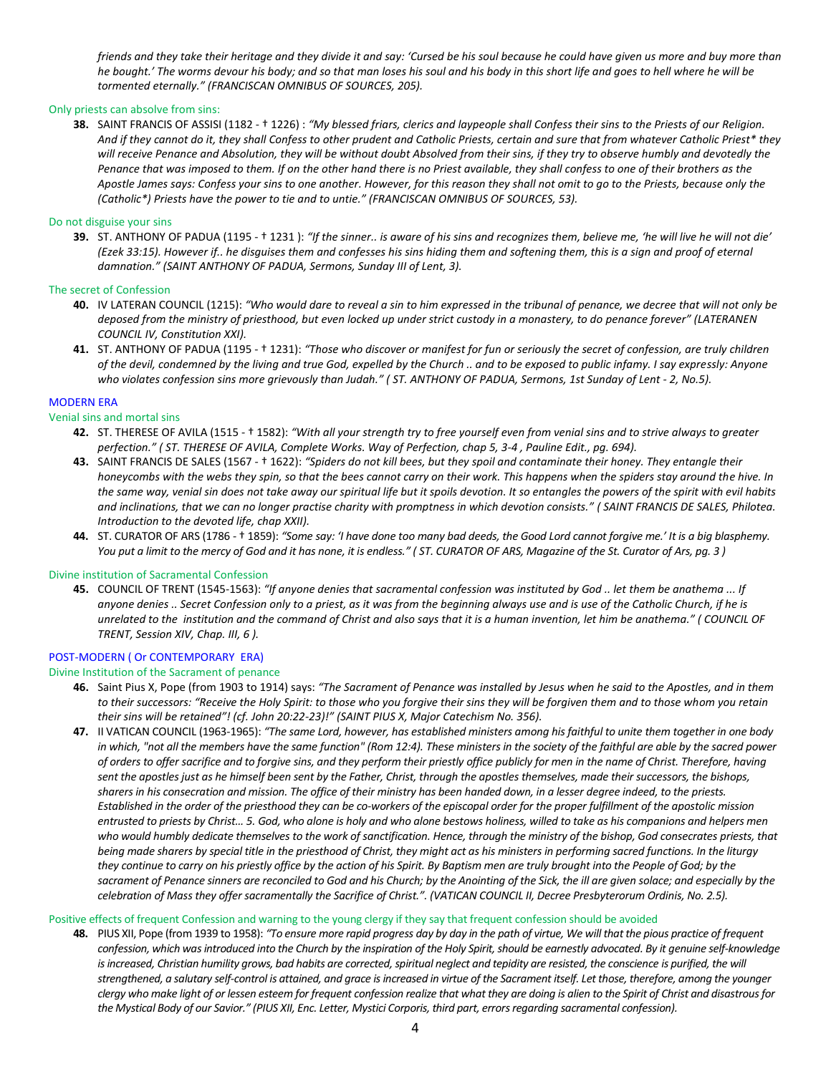*friends and they take their heritage and they divide it and say: 'Cursed be his soul because he could have given us more and buy more than he bought.' The worms devour his body; and so that man loses his soul and his body in this short life and goes to hell where he will be tormented eternally." (FRANCISCAN OMNIBUS OF SOURCES, 205).*

# Only priests can absolve from sins:

**38.** SAINT FRANCIS OF ASSISI (1182 - † 1226) : *"My blessed friars, clerics and laypeople shall Confess their sins to the Priests of our Religion. And if they cannot do it, they shall Confess to other prudent and Catholic Priests, certain and sure that from whatever Catholic Priest\* they will receive Penance and Absolution, they will be without doubt Absolved from their sins, if they try to observe humbly and devotedly the Penance that was imposed to them. If on the other hand there is no Priest available, they shall confess to one of their brothers as the Apostle James says: Confess your sins to one another. However, for this reason they shall not omit to go to the Priests, because only the (Catholic\*) Priests have the power to tie and to untie." (FRANCISCAN OMNIBUS OF SOURCES, 53).*

## Do not disguise your sins

**39.** ST. ANTHONY OF PADUA (1195 - † 1231 ): *"If the sinner.. is aware of his sins and recognizes them, believe me, 'he will live he will not die' (Ezek 33:15). However if.. he disguises them and confesses his sins hiding them and softening them, this is a sign and proof of eternal damnation." (SAINT ANTHONY OF PADUA, Sermons, Sunday III of Lent, 3).*

# The secret of Confession

- **40.** IV LATERAN COUNCIL (1215): *"Who would dare to reveal a sin to him expressed in the tribunal of penance, we decree that will not only be deposed from the ministry of priesthood, but even locked up under strict custody in a monastery, to do penance forever" (LATERANEN COUNCIL IV, Constitution XXI).*
- **41.** ST. ANTHONY OF PADUA (1195 † 1231): *"Those who discover or manifest for fun or seriously the secret of confession, are truly children of the devil, condemned by the living and true God, expelled by the Church .. and to be exposed to public infamy. I say expressly: Anyone who violates confession sins more grievously than Judah." ( ST. ANTHONY OF PADUA, Sermons, 1st Sunday of Lent - 2, No.5).*

# MODERN ERA

## Venial sins and mortal sins

- **42.** ST. THERESE OF AVILA (1515 † 1582): *"With all your strength try to free yourself even from venial sins and to strive always to greater perfection." ( ST. THERESE OF AVILA, Complete Works. Way of Perfection, chap 5, 3-4 , Pauline Edit., pg. 694).*
- **43.** SAINT FRANCIS DE SALES (1567 † 1622): *"Spiders do not kill bees, but they spoil and contaminate their honey. They entangle their honeycombs with the webs they spin, so that the bees cannot carry on their work. This happens when the spiders stay around the hive. In the same way, venial sin does not take away our spiritual life but it spoils devotion. It so entangles the powers of the spirit with evil habits and inclinations, that we can no longer practise charity with promptness in which devotion consists." ( SAINT FRANCIS DE SALES, Philotea. Introduction to the devoted life, chap XXII).*
- **44.** ST. CURATOR OF ARS (1786 † 1859): *"Some say: 'I have done too many bad deeds, the Good Lord cannot forgive me.' It is a big blasphemy. You put a limit to the mercy of God and it has none, it is endless." ( ST. CURATOR OF ARS, Magazine of the St. Curator of Ars, pg. 3 )*

## Divine institution of Sacramental Confession

**45.** COUNCIL OF TRENT (1545-1563): *"If anyone denies that sacramental confession was instituted by God .. let them be anathema ... If anyone denies .. Secret Confession only to a priest, as it was from the beginning always use and is use of the Catholic Church, if he is unrelated to the institution and the command of Christ and also says that it is a human invention, let him be anathema." ( COUNCIL OF TRENT, Session XIV, Chap. III, 6 ).*

# POST-MODERN ( Or CONTEMPORARY ERA)

## Divine Institution of the Sacrament of penance

- **46.** Saint Pius X, Pope (from 1903 to 1914) says: *"The Sacrament of Penance was installed by Jesus when he said to the Apostles, and in them to their successors: "Receive the Holy Spirit: to those who you forgive their sins they will be forgiven them and to those whom you retain their sins will be retained"! (cf. John 20:22-23)!" (SAINT PIUS X, Major Catechism No. 356).*
- **47.** II VATICAN COUNCIL (1963-1965): *"The same Lord, however, has established ministers among his faithful to unite them together in one body in which, "not all the members have the same function" (Rom 12:4). These ministers in the society of the faithful are able by the sacred power of orders to offer sacrifice and to forgive sins, and they perform their priestly office publicly for men in the name of Christ. Therefore, having sent the apostles just as he himself been sent by the Father, Christ, through the apostles themselves, made their successors, the bishops, sharers in his consecration and mission. The office of their ministry has been handed down, in a lesser degree indeed, to the priests. Established in the order of the priesthood they can be co-workers of the episcopal order for the proper fulfillment of the apostolic mission entrusted to priests by Christ… 5. God, who alone is holy and who alone bestows holiness, willed to take as his companions and helpers men who would humbly dedicate themselves to the work of sanctification. Hence, through the ministry of the bishop, God consecrates priests, that being made sharers by special title in the priesthood of Christ, they might act as his ministers in performing sacred functions. In the liturgy they continue to carry on his priestly office by the action of his Spirit. By Baptism men are truly brought into the People of God; by the sacrament of Penance sinners are reconciled to God and his Church; by the Anointing of the Sick, the ill are given solace; and especially by the celebration of Mass they offer sacramentally the Sacrifice of Christ.". (VATICAN COUNCIL II, Decree Presbyterorum Ordinis, No. 2.5).*

## Positive effects of frequent Confession and warning to the young clergy if they say that frequent confession should be avoided

**48.** PIUS XII, Pope (from 1939 to 1958): *"To ensure more rapid progress day by day in the path of virtue, We will that the pious practice of frequent confession, which was introduced into the Church by the inspiration of the Holy Spirit, should be earnestly advocated. By it genuine self-knowledge is increased, Christian humility grows, bad habits are corrected, spiritual neglect and tepidity are resisted, the conscience is purified, the will strengthened, a salutary self-control is attained, and grace is increased in virtue of the Sacrament itself. Let those, therefore, among the younger clergy who make light of or lessen esteem for frequent confession realize that what they are doing is alien to the Spirit of Christ and disastrous for the Mystical Body of our Savior." (PIUS XII, Enc. Letter, Mystici Corporis, third part, errors regarding sacramental confession).*